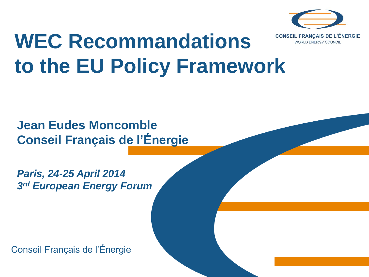

**WORLD ENERGY COUNCIL** 

### **WEC Recommandations to the EU Policy Framework**

### **Jean Eudes Moncomble Conseil Français de l'Énergie**

*Paris, 24-25 April 2014 3 rd European Energy Forum*

Conseil Français de l'Énergie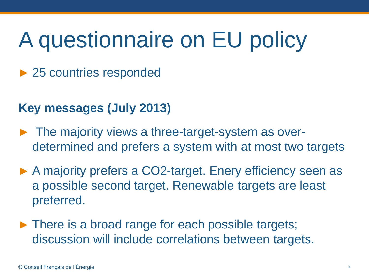## A questionnaire on EU policy

► 25 countries responded

### **Key messages (July 2013)**

- ► The majority views a three-target-system as overdetermined and prefers a system with at most two targets
- ► A majority prefers a CO2-target. Enery efficiency seen as a possible second target. Renewable targets are least preferred.
- ► There is a broad range for each possible targets; discussion will include correlations between targets.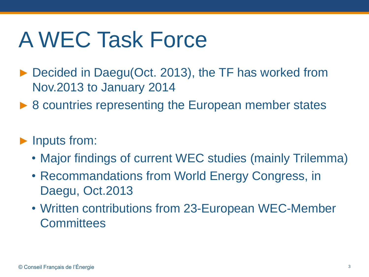## A WEC Task Force

- ► Decided in Daegu(Oct. 2013), the TF has worked from Nov.2013 to January 2014
- ▶ 8 countries representing the European member states

#### ► Inputs from:

- Major findings of current WEC studies (mainly Trilemma)
- Recommandations from World Energy Congress, in Daegu, Oct.2013
- Written contributions from 23-European WEC-Member **Committees**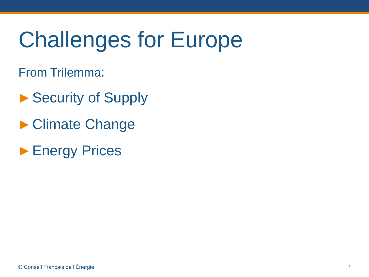# Challenges for Europe

From Trilemma:

- ▶ Security of Supply
- ►Climate Change
- ► Energy Prices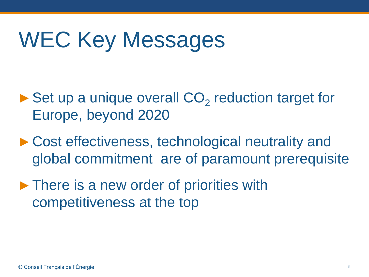## WEC Key Messages

- $\blacktriangleright$  Set up a unique overall  $CO<sub>2</sub>$  reduction target for Europe, beyond 2020
- ► Cost effectiveness, technological neutrality and global commitment are of paramount prerequisite
- ►There is a new order of priorities with competitiveness at the top